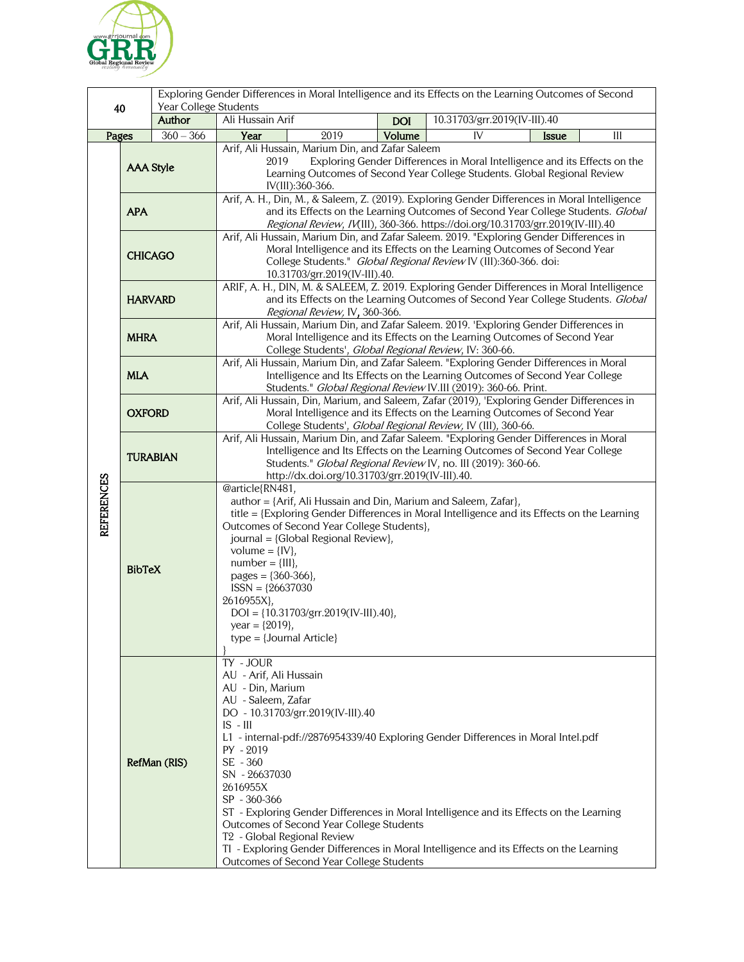

| Year College Students<br>40<br>Author |                  |             | Exploring Gender Differences in Moral Intelligence and its Effects on the Learning Outcomes of Second                                                                                                                                                                                                                                                                                                                                                                                                                                                                                                                |            |                              |              |     |  |
|---------------------------------------|------------------|-------------|----------------------------------------------------------------------------------------------------------------------------------------------------------------------------------------------------------------------------------------------------------------------------------------------------------------------------------------------------------------------------------------------------------------------------------------------------------------------------------------------------------------------------------------------------------------------------------------------------------------------|------------|------------------------------|--------------|-----|--|
|                                       |                  |             | Ali Hussain Arif                                                                                                                                                                                                                                                                                                                                                                                                                                                                                                                                                                                                     | <b>DOI</b> | 10.31703/grr.2019(IV-III).40 |              |     |  |
| Pages                                 |                  | $360 - 366$ | 2019<br>Year                                                                                                                                                                                                                                                                                                                                                                                                                                                                                                                                                                                                         | Volume     | IV                           | <b>Issue</b> | III |  |
| <b>REFERENCES</b>                     | <b>AAA Style</b> |             | Arif, Ali Hussain, Marium Din, and Zafar Saleem<br>2019<br>Exploring Gender Differences in Moral Intelligence and its Effects on the<br>Learning Outcomes of Second Year College Students. Global Regional Review<br>IV(III):360-366.                                                                                                                                                                                                                                                                                                                                                                                |            |                              |              |     |  |
|                                       | <b>APA</b>       |             | Arif, A. H., Din, M., & Saleem, Z. (2019). Exploring Gender Differences in Moral Intelligence<br>and its Effects on the Learning Outcomes of Second Year College Students. Global<br>Regional Review, IV(III), 360-366. https://doi.org/10.31703/grr.2019(IV-III).40                                                                                                                                                                                                                                                                                                                                                 |            |                              |              |     |  |
|                                       | <b>CHICAGO</b>   |             | Arif, Ali Hussain, Marium Din, and Zafar Saleem. 2019. "Exploring Gender Differences in<br>Moral Intelligence and its Effects on the Learning Outcomes of Second Year<br>College Students." Global Regional Review IV (III):360-366. doi:<br>10.31703/grr.2019(IV-III).40.                                                                                                                                                                                                                                                                                                                                           |            |                              |              |     |  |
|                                       | <b>HARVARD</b>   |             | ARIF, A. H., DIN, M. & SALEEM, Z. 2019. Exploring Gender Differences in Moral Intelligence<br>and its Effects on the Learning Outcomes of Second Year College Students. Global<br>Regional Review, IV, 360-366.                                                                                                                                                                                                                                                                                                                                                                                                      |            |                              |              |     |  |
|                                       | <b>MHRA</b>      |             | Arif, Ali Hussain, Marium Din, and Zafar Saleem. 2019. 'Exploring Gender Differences in<br>Moral Intelligence and its Effects on the Learning Outcomes of Second Year<br>College Students', Global Regional Review, IV: 360-66.                                                                                                                                                                                                                                                                                                                                                                                      |            |                              |              |     |  |
|                                       | <b>MLA</b>       |             | Arif, Ali Hussain, Marium Din, and Zafar Saleem. "Exploring Gender Differences in Moral<br>Intelligence and Its Effects on the Learning Outcomes of Second Year College<br>Students." Global Regional Review IV.III (2019): 360-66. Print.                                                                                                                                                                                                                                                                                                                                                                           |            |                              |              |     |  |
|                                       | <b>OXFORD</b>    |             | Arif, Ali Hussain, Din, Marium, and Saleem, Zafar (2019), 'Exploring Gender Differences in<br>Moral Intelligence and its Effects on the Learning Outcomes of Second Year<br>College Students', Global Regional Review, IV (III), 360-66.                                                                                                                                                                                                                                                                                                                                                                             |            |                              |              |     |  |
|                                       | <b>TURABIAN</b>  |             | Arif, Ali Hussain, Marium Din, and Zafar Saleem. "Exploring Gender Differences in Moral<br>Intelligence and Its Effects on the Learning Outcomes of Second Year College<br>Students." Global Regional Review IV, no. III (2019): 360-66.<br>http://dx.doi.org/10.31703/grr.2019(IV-III).40.                                                                                                                                                                                                                                                                                                                          |            |                              |              |     |  |
|                                       | <b>BibTeX</b>    |             | @article{RN481,<br>author = {Arif, Ali Hussain and Din, Marium and Saleem, Zafar},<br>title = {Exploring Gender Differences in Moral Intelligence and its Effects on the Learning<br>Outcomes of Second Year College Students},<br>journal = {Global Regional Review},<br>volume = $\{IV\}$ ,<br>$number = \{III\},\$<br>pages = ${360-366}$ ,<br>$ISSN = {26637030}$<br>2616955X},<br>$DOI = \{10.31703/grr.2019(IV-III).40\},\$<br>year = $\{2019\}$ ,<br>$type = {Journal Article}$                                                                                                                               |            |                              |              |     |  |
|                                       | RefMan (RIS)     |             | TY - JOUR<br>AU - Arif, Ali Hussain<br>AU - Din, Marium<br>AU - Saleem, Zafar<br>DO - 10.31703/grr.2019(IV-III).40<br>$IS - III$<br>L1 - internal-pdf://2876954339/40 Exploring Gender Differences in Moral Intel.pdf<br>PY - 2019<br>SE - 360<br>SN - 26637030<br>2616955X<br>SP - 360-366<br>ST - Exploring Gender Differences in Moral Intelligence and its Effects on the Learning<br>Outcomes of Second Year College Students<br>T <sub>2</sub> - Global Regional Review<br>TI - Exploring Gender Differences in Moral Intelligence and its Effects on the Learning<br>Outcomes of Second Year College Students |            |                              |              |     |  |